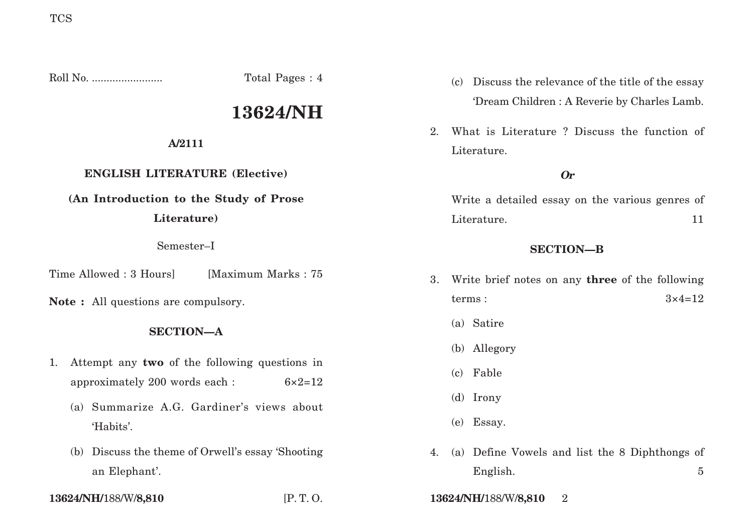Roll No. ........................ Total Pages : 4

# **13624/NH**

#### **A/2111**

## **ENGLISH LITERATURE (Elective)**

# **(An Introduction to the Study of Prose**

#### **Literature)**

#### Semester–I

Time Allowed : 3 Hours [Maximum Marks : 75]

**Note :** All questions are compulsory.

#### **SECTION—A**

- 1. Attempt any **two** of the following questions in approximately 200 words each : 6×2=12
	- (a) Summarize A.G. Gardiner's views about 'Habits'.
	- (b) Discuss the theme of Orwell's essay 'Shooting an Elephant'.
- (c) Discuss the relevance of the title of the essay 'Dream Children : A Reverie by Charles Lamb.
- 2. What is Literature ? Discuss the function of Literature.

### **Or**

Write a detailed essay on the various genres of Literature. 11

#### **SECTION—B**

- 3. Write brief notes on any **three** of the following  $terms:$   $3 \times 4 = 12$ 
	- (a) Satire
	- (b) Allegory
	- (c) Fable
	- (d) Irony
	- (e) Essay.
- 4. (a) Define Vowels and list the 8 Diphthongs of English. 5
- **13624/NH/**188/W/**8,810** [P. T. O. **13624/NH/**188/W/**8,810** 2
-